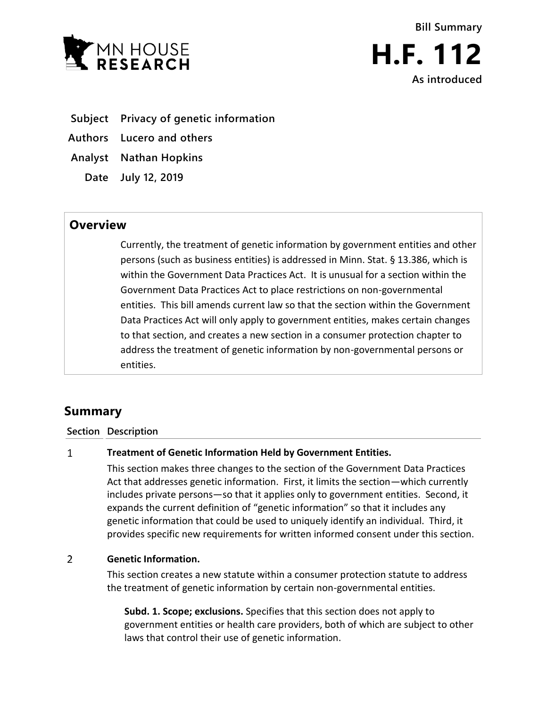



- **Subject Privacy of genetic information**
- **Authors Lucero and others**
- **Analyst Nathan Hopkins**
	- **Date July 12, 2019**

## **Overview**

Currently, the treatment of genetic information by government entities and other persons (such as business entities) is addressed in Minn. Stat. § 13.386, which is within the Government Data Practices Act. It is unusual for a section within the Government Data Practices Act to place restrictions on non-governmental entities. This bill amends current law so that the section within the Government Data Practices Act will only apply to government entities, makes certain changes to that section, and creates a new section in a consumer protection chapter to address the treatment of genetic information by non-governmental persons or entities.

# **Summary**

### **Section Description**

#### $\mathbf{1}$ **Treatment of Genetic Information Held by Government Entities.**

This section makes three changes to the section of the Government Data Practices Act that addresses genetic information. First, it limits the section—which currently includes private persons—so that it applies only to government entities. Second, it expands the current definition of "genetic information" so that it includes any genetic information that could be used to uniquely identify an individual. Third, it provides specific new requirements for written informed consent under this section.

#### $\overline{2}$ **Genetic Information.**

This section creates a new statute within a consumer protection statute to address the treatment of genetic information by certain non-governmental entities.

**Subd. 1. Scope; exclusions.** Specifies that this section does not apply to government entities or health care providers, both of which are subject to other laws that control their use of genetic information.